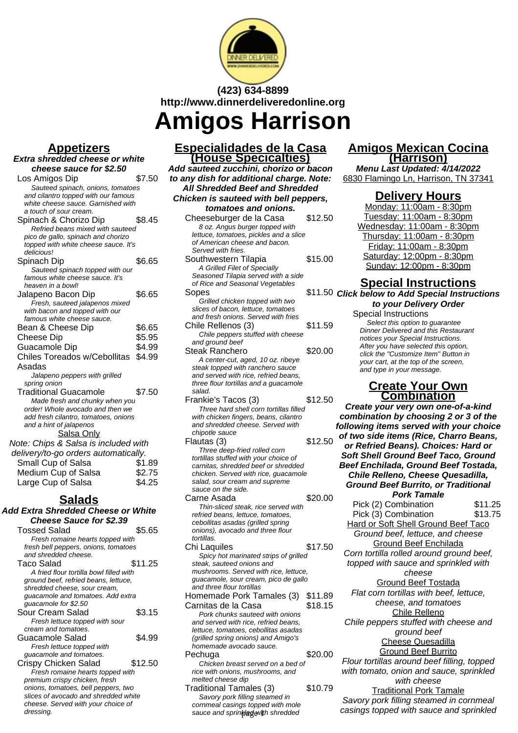

# **(423) 634-8899 http://www.dinnerdeliveredonline.org**

**Amigos Harrison**

### **Appetizers**

#### **Extra shredded cheese or white cheese sauce for \$2.50**

| cheese sauce for 52.50                                                     |        |
|----------------------------------------------------------------------------|--------|
| Los Amigos Dip                                                             | \$7.50 |
| Sauteed spinach, onions, tomatoes                                          |        |
| and cilantro topped with our famous                                        |        |
| white cheese sauce. Garnished with                                         |        |
| a touch of sour cream.                                                     |        |
| Spinach & Chorizo Dip                                                      | \$8.45 |
| Refried beans mixed with sauteed                                           |        |
| pico de gallo, spinach and chorizo<br>topped with white cheese sauce. It's |        |
| delicious!                                                                 |        |
| Spinach Dip                                                                | \$6.65 |
| Sauteed spinach topped with our                                            |        |
| famous white cheese sauce. It's                                            |        |
| heaven in a bowl!                                                          |        |
| Jalapeno Bacon Dip                                                         | \$6.65 |
| Fresh, sauteed jalapenos mixed                                             |        |
| with bacon and topped with our                                             |        |
| famous white cheese sauce.                                                 |        |
| Bean & Cheese Dip                                                          | \$6.65 |
| Cheese Dip                                                                 | \$5.95 |
| Guacamole Dip                                                              | \$4.99 |
| Chiles Toreados w/Cebollitas                                               | \$4.99 |
| Asadas                                                                     |        |
| Jalapeno peppers with grilled                                              |        |
| spring onion                                                               |        |
| <b>Traditional Guacamole</b>                                               | \$7.50 |
| Made fresh and chunky when you                                             |        |
| order! Whole avocado and then we                                           |        |
| add fresh cilantro, tomatoes, onions                                       |        |
| and a hint of jalapenos<br>Salsa Only                                      |        |
|                                                                            |        |
| Note: Chips & Salsa is included with                                       |        |
| delivery/to-go orders automatically.                                       |        |
| Small Cup of Salsa                                                         | \$1.89 |
| Medium Cup of Salsa                                                        | \$2.75 |
| Large Cup of Salsa                                                         | \$4.25 |
|                                                                            |        |

# **Salads**

| <b>Add Extra Shredded Cheese or White</b>       |         |  |
|-------------------------------------------------|---------|--|
| <b>Cheese Sauce for \$2.39</b>                  |         |  |
| <b>Tossed Salad</b>                             | \$5.65  |  |
| Fresh romaine hearts topped with                |         |  |
| fresh bell peppers, onions, tomatoes            |         |  |
| and shredded cheese.                            |         |  |
| Taco Salad                                      | \$11.25 |  |
| A fried flour tortilla bowl filled with         |         |  |
| ground beef, refried beans, lettuce,            |         |  |
| shredded cheese, sour cream,                    |         |  |
| guacamole and tomatoes. Add extra               |         |  |
| guacamole for \$2.50                            |         |  |
| Sour Cream Salad                                | \$3.15  |  |
| Fresh lettuce topped with sour                  |         |  |
| cream and tomatoes.                             |         |  |
| Guacamole Salad                                 | \$4.99  |  |
| Fresh lettuce topped with                       |         |  |
| guacamole and tomatoes.                         |         |  |
| Crispy Chicken Salad                            | \$12.50 |  |
| Fresh romaine hearts topped with                |         |  |
| premium crispy chicken, fresh                   |         |  |
| onions, tomatoes, bell peppers, two             |         |  |
| slices of avocado and shredded white            |         |  |
| cheese. Served with your choice of<br>dressing. |         |  |
|                                                 |         |  |

# **Especialidades de la Casa (House Specicalties)**

**Add sauteed zucchini, chorizo or bacon to any dish for additional charge. Note: All Shredded Beef and Shredded Chicken is sauteed with bell peppers, tomatoes and onions.**

| <i>lomaloes and omons.</i>                                         |         |
|--------------------------------------------------------------------|---------|
| Cheeseburger de la Casa                                            | \$12.50 |
| 8 oz. Angus burger topped with                                     |         |
| lettuce, tomatoes, pickles and a slice                             |         |
| of American cheese and bacon.                                      |         |
| Served with fries.                                                 |         |
| Southwestern Tilapia                                               | \$15.00 |
| A Grilled Filet of Specially                                       |         |
| Seasoned Tilapia served with a side                                |         |
| of Rice and Seasonal Vegetables                                    |         |
|                                                                    |         |
| Sopes                                                              | \$11.50 |
| Grilled chicken topped with two                                    |         |
| slices of bacon, lettuce, tomatoes                                 |         |
| and fresh onions. Served with fries                                |         |
| Chile Rellenos (3)                                                 | \$11.59 |
| Chile peppers stuffed with cheese                                  |         |
| and ground beef                                                    |         |
| Steak Ranchero                                                     | \$20.00 |
| A center-cut, aged, 10 oz. ribeye                                  |         |
| steak topped with ranchero sauce                                   |         |
| and served with rice, refried beans,                               |         |
| three flour tortillas and a guacamole                              |         |
| salad.                                                             |         |
|                                                                    | \$12.50 |
| Frankie's Tacos (3)                                                |         |
| Three hard shell corn tortillas filled                             |         |
| with chicken fingers, beans, cilantro                              |         |
| and shredded cheese. Served with                                   |         |
| chipotle sauce                                                     |         |
| Flautas (3)                                                        | \$12.50 |
| Three deep-fried rolled corn                                       |         |
| tortillas stuffed with your choice of                              |         |
| carnitas, shredded beef or shredded                                |         |
| chicken. Served with rice, guacamole                               |         |
| salad, sour cream and supreme                                      |         |
| sauce on the side.                                                 |         |
| Carne Asada                                                        | \$20.00 |
| Thin-sliced steak, rice served with                                |         |
| refried beans, lettuce, tomatoes,                                  |         |
| cebollitas asadas (grilled spring                                  |         |
| onions), avocado and three flour                                   |         |
| tortillas.                                                         |         |
| Chi Laquiles                                                       | \$17.50 |
|                                                                    |         |
| Spicy hot marinated strips of grilled<br>steak, sauteed onions and |         |
|                                                                    |         |
| mushrooms. Served with rice, lettuce,                              |         |
| guacamole, sour cream, pico de gallo                               |         |
| and three flour tortillas                                          |         |
| Homemade Pork Tamales (3)                                          | \$11.89 |
| Carnitas de la Casa                                                | \$18.15 |
| Pork chunks sauteed with onions                                    |         |
| and served with rice, refried beans.                               |         |

lettuce, tomatoes, cebollitas asadas (grilled spring onions) and Amigo's homemade avocado sauce.

melted cheese dip

Pechuga  $$20.00$ Chicken breast served on a bed of rice with onions, mushrooms, and

Traditional Tamales (3) \$10.79 Savory pork filling steamed in cornmeal casings topped with mole sauce and sprinkled with shredded

### **Amigos Mexican Cocina (Harrison)**

**Menu Last Updated: 4/14/2022** 6830 Flamingo Ln, Harrison, TN 37341

### **Delivery Hours**

Monday: 11:00am - 8:30pm Tuesday: 11:00am - 8:30pm Wednesday: 11:00am - 8:30pm Thursday: 11:00am - 8:30pm Friday: 11:00am - 8:30pm Saturday: 12:00pm - 8:30pm Sunday: 12:00pm - 8:30pm

# **Special Instructions**

**Click below to Add Special Instructions to your Delivery Order**

Special Instructions Select this option to quarantee Dinner Delivered and this Restaurant notices your Special Instructions. After you have selected this option, click the "Customize Item" Button in your cart, at the top of the screen, and type in your message.

### **Create Your Own Combination**

**Create your very own one-of-a-kind combination by choosing 2 or 3 of the following items served with your choice of two side items (Rice, Charro Beans, or Refried Beans). Choices: Hard or Soft Shell Ground Beef Taco, Ground Beef Enchilada, Ground Beef Tostada, Chile Relleno, Cheese Quesadilla, Ground Beef Burrito, or Traditional Pork Tamale**

Pick (2) Combination \$11.25<br>Pick (3) Combination \$13.75 Pick (3) Combination Hard or Soft Shell Ground Beef Taco Ground beef, lettuce, and cheese Ground Beef Enchilada Corn tortilla rolled around ground beef, topped with sauce and sprinkled with cheese Ground Beef Tostada Flat corn tortillas with beef, lettuce, cheese, and tomatoes Chile Relleno Chile peppers stuffed with cheese and ground beef Cheese Quesadilla Ground Beef Burrito Flour tortillas around beef filling, topped with tomato, onion and sauce, sprinkled with cheese Traditional Pork Tamale Savory pork filling steamed in cornmeal

casings topped with sauce and sprinkled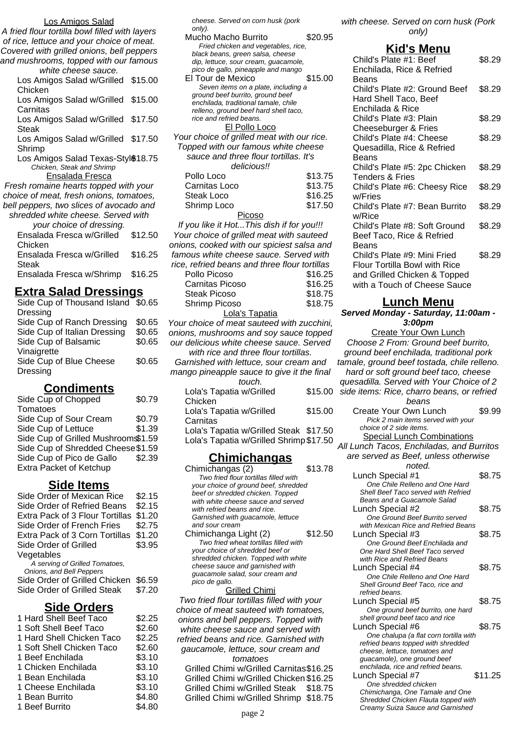#### Los Amigos Salad

A fried flour tortilla bowl filled with layers of rice, lettuce and your choice of meat. Covered with grilled onions, bell peppers and mushrooms, topped with our famous white cheese sauce.

| ,,,,,,,,,,,,,,,,,,,,,,,,,,,,,,,                              |  |
|--------------------------------------------------------------|--|
| Los Amigos Salad w/Grilled \$15.00                           |  |
| Chicken                                                      |  |
| Los Amigos Salad w/Grilled \$15.00                           |  |
| Carnitas                                                     |  |
| Los Amigos Salad w/Grilled \$17.50                           |  |
| Steak                                                        |  |
| Los Amigos Salad w/Grilled \$17.50                           |  |
| Shrimp                                                       |  |
| $\frac{1}{2}$ co. $\frac{1}{2}$ miggs Colod Toyco Ctulk10.75 |  |

Los Amigos Salad Texas-Styl<sup>\$18.75</sup> Chicken, Steak and Shrimp

Ensalada Fresca

Fresh romaine hearts topped with your choice of meat, fresh onions, tomatoes, bell peppers, two slices of avocado and shredded white cheese. Served with your choice of d

| your choice of dressing.<br>Ensalada Fresca w/Grilled | \$12.50 |
|-------------------------------------------------------|---------|
| Chicken<br>Ensalada Fresca w/Grilled                  | \$16.25 |
| Steak<br>Ensalada Fresca w/Shrimp                     | \$16.25 |

# **Extra Salad Dressings**

| Side Cup of Thousand Island \$0.65 |        |
|------------------------------------|--------|
| <b>Dressing</b>                    |        |
| Side Cup of Ranch Dressing         | \$0.65 |
| Side Cup of Italian Dressing       | \$0.65 |
| Side Cup of Balsamic               | \$0.65 |
| Vinaigrette                        |        |
| Side Cup of Blue Cheese            | \$0.65 |
| Dressing                           |        |
|                                    |        |

# **Condiments**

| Side Cup of Chopped                | \$0.79 |
|------------------------------------|--------|
| Tomatoes                           |        |
| Side Cup of Sour Cream             | \$0.79 |
| Side Cup of Lettuce                | \$1.39 |
| Side Cup of Grilled Mushroom\$1.59 |        |
| Side Cup of Shredded Cheese \$1.59 |        |
| Side Cup of Pico de Gallo          | \$2.39 |
| Extra Packet of Ketchup            |        |
|                                    |        |

### **Side Items**

| Side Order of Mexican Rice      | \$2.15 |  |
|---------------------------------|--------|--|
| Side Order of Refried Beans     | \$2.15 |  |
| Extra Pack of 3 Flour Tortillas | \$1.20 |  |
| Side Order of French Fries      | \$2.75 |  |
| Extra Pack of 3 Corn Tortillas  | \$1.20 |  |
| Side Order of Grilled           | \$3.95 |  |
| Vegetables                      |        |  |
| A serving of Grilled Tomatoes,  |        |  |
| Onions, and Bell Peppers        |        |  |
| Side Order of Grilled Chicken   | \$6.59 |  |
| Side Order of Grilled Steak     | \$7.20 |  |
| <b>Side Orders</b>              |        |  |
|                                 |        |  |

| 1 Hard Shell Beef Taco    | \$2.25 |
|---------------------------|--------|
| 1 Soft Shell Beef Taco    | \$2.60 |
| 1 Hard Shell Chicken Taco | \$2.25 |
| 1 Soft Shell Chicken Taco | \$2.60 |
| 1 Beef Enchilada          | \$3.10 |
| 1 Chicken Enchilada       | \$3.10 |
| 1 Bean Enchilada          | \$3.10 |
| 1 Cheese Enchilada        | \$3.10 |
| 1 Bean Burrito            | \$4.80 |
| 1 Beef Burrito            | \$4.80 |
|                           |        |

cheese. Served on corn husk (pork only).

| only).                                     |         |
|--------------------------------------------|---------|
| Mucho Macho Burrito                        | \$20.95 |
| Fried chicken and vegetables, rice,        |         |
| black beans, green salsa, cheese           |         |
| dip, lettuce, sour cream, guacamole,       |         |
| pico de gallo, pineapple and mango         |         |
| El Tour de Mexico                          | \$15.00 |
| Seven items on a plate, including a        |         |
| ground beef burrito, ground beef           |         |
| enchilada, traditional tamale, chile       |         |
| relleno, ground beef hard shell taco,      |         |
| rice and refried beans.                    |         |
| El Pollo Loco                              |         |
| Your choice of grilled meat with our rice. |         |
| Topped with our famous white cheese        |         |
| sauce and three flour tortillas. It's      |         |
| delicious!!                                |         |
| Pollo Loco                                 | \$13.75 |
| Carnitas Loco                              | \$13.75 |
| Steak Loco                                 | \$16.25 |
| Shrimp Loco                                | \$17.50 |

#### **Picoso**

If you like it Hot...This dish if for you!!! Your choice of grilled meat with sauteed onions, cooked with our spiciest salsa and famous white cheese sauce. Served with rice, refried beans and three flour tortillas Pollo Picoso \$16.25 Carnitas Picoso \$16.25 Steak Picoso \$18.75 Shrimp Picoso \$18.75 Lola's Tapatia

Your choice of meat sauteed with zucchini, onions, mushrooms and soy sauce topped our delicious white cheese sauce. Served with rice and three flour tortillas. Garnished with lettuce, sour cream and mango pineapple sauce to give it the final touch. Lola's Tapatia w/Grilled  $0.45.00$ 

| Luid S Tapatia W/Gillieu                | 313.UU  |
|-----------------------------------------|---------|
| Chicken                                 |         |
| Lola's Tapatia w/Grilled                | \$15.00 |
| Carnitas                                |         |
| Lola's Tapatia w/Grilled Steak \$17.50  |         |
| Lola's Tapatia w/Grilled Shrimp \$17.50 |         |
|                                         |         |

### **Chimichangas**

| Chimichangas (2)                      | \$13.78 |
|---------------------------------------|---------|
| Two fried flour tortillas filled with |         |
| your choice of ground beef, shredded  |         |
| beef or shredded chicken. Topped      |         |
| with white cheese sauce and served    |         |
| with refried beans and rice.          |         |
| Garnished with guacamole, lettuce     |         |
| and sour cream                        |         |
| Chimichanga Light (2)                 | \$12.50 |
| Two fried wheat tortillas filled with |         |
| your choice of shredded beef or       |         |
| shredded chicken. Topped with white   |         |
| cheese sauce and garnished with       |         |
| guacamole salad, sour cream and       |         |
| pico de gallo.                        |         |
| Grilled Chimi                         |         |

Two fried flour tortillas filled with your choice of meat sauteed with tomatoes, onions and bell peppers. Topped with white cheese sauce and served with refried beans and rice. Garnished with gaucamole, lettuce, sour cream and tomatoes Grilled Chimi w/Grilled Carnitas\$16.25

Grilled Chimi w/Grilled Chicken \$16.25 Grilled Chimi w/Grilled Steak \$18.75 Grilled Chimi w/Grilled Shrimp \$18.75

with cheese. Served on corn husk (Pork only)

### **Kid's Menu**

| Child's Plate #1: Beef             | \$8.29 |
|------------------------------------|--------|
| Enchilada, Rice & Refried<br>Beans |        |
| Child's Plate #2: Ground Beef      | \$8.29 |
| Hard Shell Taco, Beef              |        |
| Enchilada & Rice                   |        |
| Child's Plate #3: Plain            | \$8.29 |
| Cheeseburger & Fries               |        |
| Child's Plate #4: Cheese           | \$8.29 |
| Quesadilla, Rice & Refried         |        |
| <b>Beans</b>                       |        |
| Child's Plate #5: 2pc Chicken      | \$8.29 |
| <b>Tenders &amp; Fries</b>         |        |
| Child's Plate #6: Cheesy Rice      | \$8.29 |
| w/Fries                            |        |
| Child's Plate #7: Bean Burrito     | \$8.29 |
| w/Rice                             |        |
| Child's Plate #8: Soft Ground      | \$8.29 |
| Beef Taco, Rice & Refried          |        |
| Beans                              |        |
| Child's Plate #9: Mini Fried       | \$8.29 |
| Flour Tortilla Bowl with Rice      |        |
| and Grilled Chicken & Topped       |        |
| with a Touch of Cheese Sauce       |        |
|                                    |        |

# **Lunch Menu**

**Served Monday - Saturday, 11:00am - 3:00pm**

Create Your Own Lunch Choose 2 From: Ground beef burrito, ground beef enchilada, traditional pork tamale, ground beef tostada, chile relleno. hard or soft ground beef taco, cheese quesadilla. Served with Your Choice of 2 side items: Rice, charro beans, or refried beans Create Your Own Lunch \$9.99 Pick 2 main items served with your choice of 2 side items. Special Lunch Combinations All Lunch Tacos, Enchiladas, and Burritos are served as Beef, unless otherwise noted. Lunch Special #1 \$8.75 One Chile Relleno and One Hard Shell Beef Taco served with Refried Beans and a Guacamole Salad Lunch Special #2 \$8.75 One Ground Beef Burrito served with Mexican Rice and Refried Beans Lunch Special #3  $$8.75$ One Ground Beef Enchilada and One Hard Shell Beef Taco served with Rice and Refried Beans Lunch Special #4 \$8.75 One Chile Relleno and One Hard Shell Ground Beef Taco, rice and refried beans. Lunch Special #5 \$8.75 One ground beef burrito, one hard shell ground beef taco and rice Lunch Special #6  $$8.75$ One chalupa (a flat corn tortilla with refried beans topped with shredded cheese, lettuce, tomatoes and guacamole), one ground beef enchilada, rice and refried beans. Lunch Special #7 \$11.25 One shredded chicken Chimichanga, One Tamale and One Shredded Chicken Flauta topped with Creamy Suiza Sauce and Garnished page 2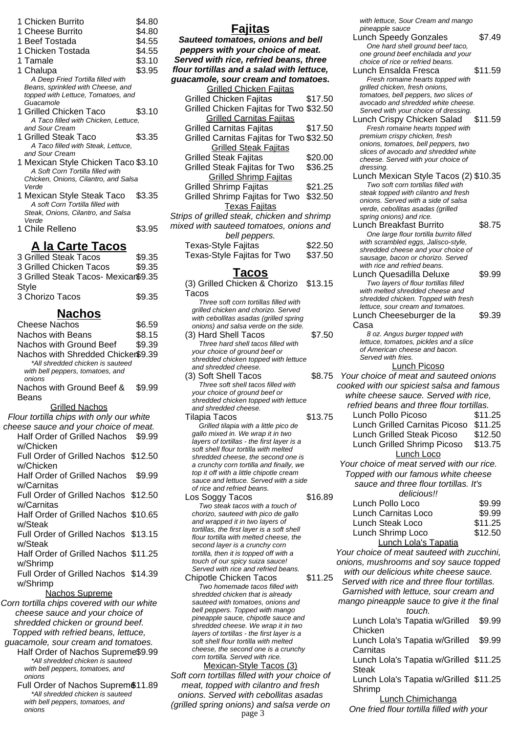| 1 Chicken Burrito                    | \$4.80 |
|--------------------------------------|--------|
| 1 Cheese Burrito                     | \$4.80 |
| 1 Beef Tostada                       | \$4.55 |
| 1 Chicken Tostada                    | \$4.55 |
| 1 Tamale                             | \$3.10 |
| 1 Chalupa                            | \$3.95 |
| A Deep Fried Tortilla filled with    |        |
| Beans, sprinkled with Cheese, and    |        |
| topped with Lettuce, Tomatoes, and   |        |
| Guacamole                            |        |
| 1 Grilled Chicken Taco               | \$3.10 |
| A Taco filled with Chicken, Lettuce, |        |
| and Sour Cream                       |        |
| 1 Grilled Steak Taco                 | \$3.35 |
| A Taco filled with Steak, Lettuce,   |        |
| and Sour Cream                       |        |
| 1 Mexican Style Chicken Taco \$3.10  |        |
| A Soft Corn Tortilla filled with     |        |
| Chicken, Onions, Cilantro, and Salsa |        |
| Verde<br>.                           |        |
|                                      |        |

- 1 Mexican Style Steak Taco \$3.35 A soft Corn Tortilla filled with Steak, Onions, Cilantro, and Salsa Verde
- 1 Chile Relleno  $$3.95$

### **A la Carte Tacos**

| 3 Grilled Steak Tacos                | \$9.35 |
|--------------------------------------|--------|
| 3 Grilled Chicken Tacos              | \$9.35 |
| 3 Grilled Steak Tacos- Mexicar\$9.35 |        |
| Style                                |        |
| 3 Chorizo Tacos                      | \$9.35 |

### **Nachos**

| <b>Cheese Nachos</b>                                                 | \$6.59  |
|----------------------------------------------------------------------|---------|
| <b>Nachos with Beans</b>                                             | \$8.15  |
| Nachos with Ground Beef                                              | \$9.39  |
| Nachos with Shredded Chicker\$9.39                                   |         |
| *All shredded chicken is sauteed                                     |         |
| with bell peppers, tomatoes, and                                     |         |
| onions<br>Nachos with Ground Beef &                                  | \$9.99  |
| Beans                                                                |         |
| <b>Grilled Nachos</b>                                                |         |
| Flour tortilla chips with only our white                             |         |
| cheese sauce and your choice of meat.                                |         |
| Half Order of Grilled Nachos                                         | \$9.99  |
| w/Chicken                                                            |         |
| Full Order of Grilled Nachos \$12.50                                 |         |
| w/Chicken                                                            |         |
| <b>Half Order of Grilled Nachos</b>                                  | \$9.99  |
| w/Carnitas                                                           |         |
| Full Order of Grilled Nachos                                         | \$12.50 |
| w/Carnitas                                                           |         |
| Half Order of Grilled Nachos \$10.65                                 |         |
| w/Steak                                                              |         |
| Full Order of Grilled Nachos \$13.15                                 |         |
| w/Steak                                                              |         |
| Half Order of Grilled Nachos \$11.25                                 |         |
| w/Shrimp                                                             |         |
| Full Order of Grilled Nachos \$14.39                                 |         |
| w/Shrimp                                                             |         |
| <b>Nachos Supreme</b>                                                |         |
| Corn tortilla chips covered with our white                           |         |
| cheese sauce and your choice of                                      |         |
| shredded chicken or ground beef.                                     |         |
| Topped with refried beans, lettuce,                                  |         |
| guacamole, sour cream and tomatoes.                                  |         |
| Half Order of Nachos Supreme\$9.99                                   |         |
| *All shredded chicken is sauteed<br>with bell peppers, tomatoes, and |         |
| onions                                                               |         |
| Full Order of Nachos Suprem\$11.89                                   |         |
| *All shraddad chickan is sautaad                                     |         |

shredded chicken is saut with bell peppers, tomatoes, and onions

### **Fajitas**

| Sauteed tomatoes, onions and bell         |
|-------------------------------------------|
| peppers with your choice of meat.         |
| Served with rice, refried beans, three    |
| flour tortillas and a salad with lettuce, |
| guacamole, sour cream and tomatoes.       |
| <b>Grilled Chicken Fajitas</b>            |

| <b>Grilled Chicken Fajitas</b>              |         |
|---------------------------------------------|---------|
| <b>Grilled Chicken Fajitas</b>              | \$17.50 |
| Grilled Chicken Fajitas for Two \$32.50     |         |
| <b>Grilled Carnitas Fajitas</b>             |         |
| <b>Grilled Carnitas Fajitas</b>             | \$17.50 |
| Grilled Carnitas Fajitas for Two \$32.50    |         |
| <b>Grilled Steak Fajitas</b>                |         |
| <b>Grilled Steak Fajitas</b>                | \$20.00 |
| <b>Grilled Steak Fajitas for Two</b>        | \$36.25 |
| <b>Grilled Shrimp Fajitas</b>               |         |
| <b>Grilled Shrimp Fajitas</b>               | \$21.25 |
| Grilled Shrimp Fajitas for Two              | \$32.50 |
| <b>Texas Fajitas</b>                        |         |
| Strips of grilled steak, chicken and shrimp |         |
| mixed with sauteed tomatoes, onions and     |         |
| bell peppers.                               |         |
| Tavae-Styla Faiitae                         | ፍንን ዳበ  |

| Texas-Style Fajitas         | \$22.50 |
|-----------------------------|---------|
| Texas-Style Fajitas for Two | \$37.50 |

### **Tacos**

| .,                                         |         |
|--------------------------------------------|---------|
| (3) Grilled Chicken & Chorizo \$13.15      |         |
| Tacos                                      |         |
| Three soft corn tortillas filled with      |         |
| grilled chicken and chorizo. Served        |         |
| with cebollitas asadas (grilled spring     |         |
| onions) and salsa verde on the side.       |         |
| (3) Hard Shell Tacos                       | \$7.50  |
| Three hard shell tacos filled with         |         |
| your choice of ground beef or              |         |
| shredded chicken topped with lettuce       |         |
| and shredded cheese.                       |         |
| (3) Soft Shell Tacos                       | \$8.75  |
| Three soft shell tacos filled with         |         |
| your choice of ground beef or              |         |
| shredded chicken topped with lettuce       |         |
| and shredded cheese.                       |         |
| Tilapia Tacos                              | \$13.75 |
| Grilled tilapia with a little pico de      |         |
| gallo mixed in. We wrap it in two          |         |
| layers of tortillas - the first layer is a |         |
| soft shell flour tortilla with melted      |         |
| shredded cheese, the second one is         |         |
| a crunchy corn tortilla and finally, we    |         |
| top it off with a little chipotle cream    |         |
| sauce and lettuce. Served with a side      |         |
| of rice and refried beans.                 |         |
| Los Soggy Tacos                            | \$16.89 |
| Two steak tacos with a touch of            |         |
| chorizo, sauteed with pico de gallo        |         |
| and wrapped it in two layers of            |         |
| tortillas, the first layer is a soft shell |         |
| flour tortilla with melted cheese, the     |         |

flour tortilla with melted cheese, the second layer is a crunchy corn tortilla, then it is topped off with a touch of our spicy suiza sauce! Served with rice and refried beans. Chipotle Chicken Tacos \$11.25 Two homemade tacos filled with shredded chicken that is already

sauteed with tomatoes, onions and bell peppers. Topped with mango pineapple sauce, chipotle sauce and shredded cheese. We wrap it in two layers of tortillas - the first layer is a soft shell flour tortilla with melted cheese, the second one is a crunchy corn tortilla. Served with rice.

Mexican-Style Tacos (3) Soft corn tortillas filled with your choice of meat, topped with cilantro and fresh onions. Served with cebollitas asadas (grilled spring onions) and salsa verde on page  $3$ 

with lettuce, Sour Cream and mango pineapple sauce

| Lunch Speedy Gonzales                                                       | \$7.49  |
|-----------------------------------------------------------------------------|---------|
| One hard shell ground beef taco,                                            |         |
| one ground beef enchilada and your                                          |         |
| choice of rice or refried beans.                                            |         |
| Lunch Ensalda Fresca                                                        | \$11.59 |
| Fresh romaine hearts topped with                                            |         |
| grilled chicken, fresh onions,                                              |         |
| tomatoes, bell peppers, two slices of                                       |         |
| avocado and shredded white cheese.                                          |         |
| Served with your choice of dressing.                                        |         |
| Lunch Crispy Chicken Salad                                                  | \$11.59 |
| Fresh romaine hearts topped with                                            |         |
| premium crispy chicken, fresh                                               |         |
| onions, tomatoes, bell peppers, two                                         |         |
| slices of avocado and shredded white                                        |         |
| cheese. Served with your choice of<br>dressing.                             |         |
|                                                                             |         |
| Lunch Mexican Style Tacos (2) \$10.35                                       |         |
| Two soft corn tortillas filled with<br>steak topped with cilantro and fresh |         |
| onions. Served with a side of salsa                                         |         |
| verde, cebollitas asadas (grilled                                           |         |
| spring onions) and rice.                                                    |         |
| Lunch Breakfast Burrito                                                     | \$8.75  |
| One large flour tortilla burrito filled                                     |         |
| with scrambled eggs, Jalisco-style,                                         |         |
| shredded cheese and your choice of                                          |         |
| sausage, bacon or chorizo. Served                                           |         |
| with rice and refried beans.                                                |         |
| Lunch Quesadilla Deluxe                                                     | \$9.99  |
| Two layers of flour tortillas filled                                        |         |
| with melted shredded cheese and                                             |         |
| shredded chicken. Topped with fresh                                         |         |
| lettuce, sour cream and tomatoes.                                           |         |
| Lunch Cheeseburger de la                                                    | \$9.39  |
| Casa                                                                        |         |
| 8 oz. Angus burger topped with                                              |         |
| lettuce, tomatoes, pickles and a slice                                      |         |
| of American cheese and bacon.                                               |         |
| Served with fries.                                                          |         |
| <b>Lunch Picoso</b>                                                         |         |
| Your choice of meat and sauteed onions                                      |         |
| cooked with our spiciest salsa and famous                                   |         |
|                                                                             |         |
| white cheese sauce. Served with rice,                                       |         |
| refried beans and three flour tortillas.                                    |         |
| Lunch Pollo Picoso                                                          | \$11.25 |
| Lunch Grilled Carnitas Picoso                                               | \$11.25 |
| <b>Lunch Grilled Steak Picoso</b>                                           | \$12.50 |
| Lunch Grilled Shrimp Picoso                                                 | \$13.75 |
|                                                                             |         |
| Lunch Loco                                                                  |         |
| Your choice of meat served with our rice.                                   |         |
| Topped with our famous white cheese                                         |         |
| sauce and three flour tortillas. It's                                       |         |
| delicious!!                                                                 |         |
| Lunch Pollo Loco                                                            | \$9.99  |
|                                                                             |         |
| <b>Lunch Carnitas Loco</b>                                                  | \$9.99  |
| Lunch Steak Loco                                                            | \$11.25 |
| Lunch Shrimp Loco                                                           | \$12.50 |
| <b>Lunch Lola's Tapatia</b>                                                 |         |
| Your choice of meat sauteed with zucchini,                                  |         |
|                                                                             |         |

onions, mushrooms and soy sauce topped with our delicious white cheese sauce.

Served with rice and three flour tortillas. Garnished with lettuce, sour cream and

mango pineapple sauce to give it the final touch.

Lunch Lola's Tapatia w/Grilled Chicken \$9.99

Lunch Lola's Tapatia w/Grilled Carnitas \$9.99

Lunch Lola's Tapatia w/Grilled \$11.25 Steak

Lunch Lola's Tapatia w/Grilled \$11.25 Shrimp

Lunch Chimichanga

One fried flour tortilla filled with your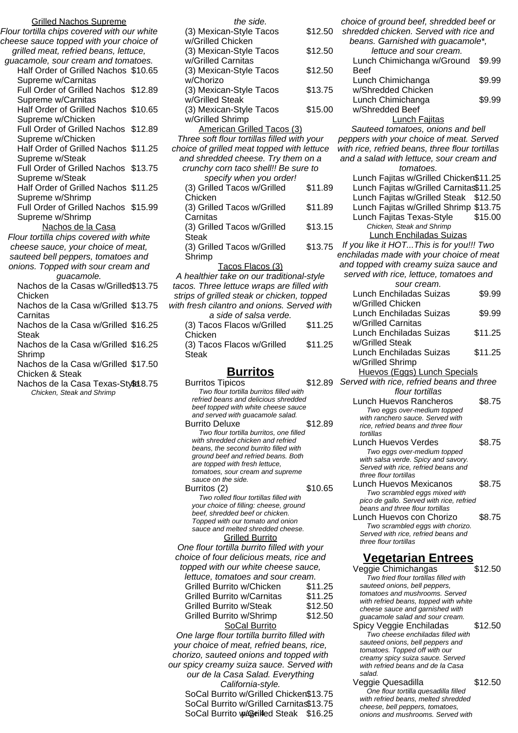Grilled Nachos Supreme Flour tortilla chips covered with our white cheese sauce topped with your choice of grilled meat, refried beans, lettuce, guacamole, sour cream and tomatoes. Half Order of Grilled Nachos \$10.65 Supreme w/Carnitas Full Order of Grilled Nachos \$12.89 Supreme w/Carnitas Half Order of Grilled Nachos \$10.65 Supreme w/Chicken Full Order of Grilled Nachos \$12.89 Supreme w/Chicken Half Order of Grilled Nachos \$11.25 Supreme w/Steak Full Order of Grilled Nachos \$13.75 Supreme w/Steak Half Order of Grilled Nachos \$11.25 Supreme w/Shrimp Full Order of Grilled Nachos \$15.99 Supreme w/Shrimp Nachos de la Casa Flour tortilla chips covered with white cheese sauce, your choice of meat, sauteed bell peppers, tomatoes and onions. Topped with sour cream and guacamole. Nachos de la Casas w/Grilled \$13.75 Chicken Nachos de la Casa w/Grilled \$13.75 **Carnitas** Nachos de la Casa w/Grilled \$16.25 **Steak** Nachos de la Casa w/Grilled \$16.25 Shrimp Nachos de la Casa w/Grilled \$17.50 Chicken & Steak

Nachos de la Casa Texas-Style 8.75 Chicken, Steak and Shrimp

the side. (3) Mexican-Style Tacos w/Grilled Chicken \$12.50 (3) Mexican-Style Tacos w/Grilled Carnitas \$12.50 (3) Mexican-Style Tacos w/Chorizo \$12.50 (3) Mexican-Style Tacos w/Grilled Steak \$13.75 (3) Mexican-Style Tacos w/Grilled Shrimp \$15.00 American Grilled Tacos (3) Three soft flour tortillas filled with your choice of grilled meat topped with lettuce and shredded cheese. Try them on a crunchy corn taco shell!! Be sure to specify when you order! (3) Grilled Tacos w/Grilled Chicken \$11.89

(3) Grilled Tacos w/Grilled **Carnitas** \$11.89 (3) Grilled Tacos w/Grilled **Steak** \$13.15 (3) Grilled Tacos w/Grilled Shrimp \$13.75

Tacos Flacos (3) A healthier take on our traditional-style tacos. Three lettuce wraps are filled with strips of grilled steak or chicken, topped with fresh cilantro and onions. Served with a side of salsa verde. (3) Tacos Flacos w/Grilled Chicken \$11.25

(3) Tacos Flacos w/Grilled **Steak** \$11.25

# **Burritos**

| <b>Burritos Tipicos</b>                                             | \$12.89 |
|---------------------------------------------------------------------|---------|
| Two flour tortilla burritos filled with                             |         |
| refried beans and delicious shredded                                |         |
| beef topped with white cheese sauce                                 |         |
| and served with guacamole salad.                                    |         |
| <b>Burrito Deluxe</b>                                               | \$12.89 |
| Two flour tortilla burritos, one filled                             |         |
| with shredded chicken and refried                                   |         |
| beans, the second burrito filled with                               |         |
| ground beef and refried beans. Both                                 |         |
| are topped with fresh lettuce,                                      |         |
| tomatoes, sour cream and supreme<br>sauce on the side.              |         |
|                                                                     | \$10.65 |
| Burritos (2)                                                        |         |
| Two rolled flour tortillas filled with                              |         |
| your choice of filling: cheese, ground                              |         |
| beef, shredded beef or chicken.<br>Topped with our tomato and onion |         |
| sauce and melted shredded cheese.                                   |         |
| <b>Grilled Burrito</b>                                              |         |
|                                                                     |         |
| One flour tortilla burrito filled with your                         |         |
| choice of four delicious meats, rice and                            |         |
| topped with our white cheese sauce,                                 |         |
| lettuce, tomatoes and sour cream.                                   |         |
| Grilled Burrito w/Chicken                                           | \$11.25 |
| <b>Grilled Burrito w/Carnitas</b>                                   | \$11.25 |
| Grilled Burrito w/Steak                                             | \$12.50 |
| Grilled Burrito w/Shrimp                                            | \$12.50 |
|                                                                     |         |
| <b>SoCal Burrito</b>                                                |         |
| One large flour tortilla burrito filled with                        |         |
| vour choice of most refried began rice                              |         |

your choice of meat, refried beans, rice, chorizo, sauteed onions and topped with our spicy creamy suiza sauce. Served with our de la Casa Salad. Everything California-style.

SoCal Burrito w/Grilled Chicken\$13.75 SoCal Burrito w/Grilled Carnitas\$13.75 SoCal Burrito w/Grilled Steak \$16.25 onions and mushrooms. Served with

choice of ground beef, shredded beef or shredded chicken. Served with rice and beans. Garnished with guacamole\*, lettuce and sour cream. Lunch Chimichanga w/Ground Beef \$9.99 Lunch Chimichanga w/Shredded Chicken \$9.99 Lunch Chimichanga w/Shredded Beef \$9.99 Lunch Fajitas Sauteed tomatoes, onions and bell peppers with your choice of meat. Served with rice, refried beans, three flour tortillas and a salad with lettuce, sour cream and tomatoes. Lunch Fajitas w/Grilled Chicken\$11.25 Lunch Fajitas w/Grilled Carnitas\$11.25 Lunch Fajitas w/Grilled Steak \$12.50 Lunch Fajitas w/Grilled Shrimp \$13.75 Lunch Fajitas Texas-Style \$15.00 Chicken, Steak and Shrimp Lunch Enchiladas Suizas If you like it HOT...This is for you!!! Two enchiladas made with your choice of meat and topped with creamy suiza sauce and served with rice, lettuce, tomatoes and sour cream. Lunch Enchiladas Suizas w/Grilled Chicken \$9.99 Lunch Enchiladas Suizas w/Grilled Carnitas \$9.99 Lunch Enchiladas Suizas w/Grilled Steak \$11.25 Lunch Enchiladas Suizas w/Grilled Shrimp \$11.25 Huevos (Eggs) Lunch Specials Served with rice, refried beans and three flour tortillas Lunch Huevos Rancheros \$8.75 Two eggs over-medium topped with ranchero sauce. Served with rice, refried beans and three flour tortillas Lunch Huevos Verdes \$8.75 Two eggs over-medium topped with salsa verde. Spicy and savory. Served with rice, refried beans and three flour tortillas Lunch Huevos Mexicanos \$8.75 Two scrambled eggs mixed with pico de gallo. Served with rice, refried beans and three flour tortillas Lunch Huevos con Chorizo \$8.75 Two scrambled eggs with chorizo. Served with rice, refried beans and three flour tortillas **Vegetarian Entrees** Veggie Chimichangas \$12.50

Two fried flour tortillas filled with sauteed onions, bell peppers, tomatoes and mushrooms. Served with refried beans, topped with white cheese sauce and garnished with guacamole salad and sour cream. Spicy Veggie Enchiladas \$12.50

Two cheese enchiladas filled with sauteed onions, bell peppers and tomatoes. Topped off with our creamy spicy suiza sauce. Served with refried beans and de la Casa salad.

Veggie Quesadilla  $$12.50$ One flour tortilla quesadilla filled with refried beans, melted shredded cheese, bell peppers, tomatoes,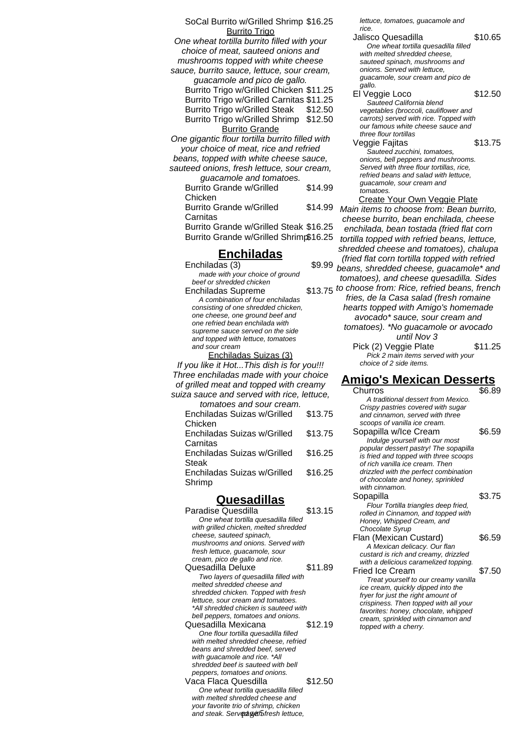SoCal Burrito w/Grilled Shrimp \$16.25 Burrito Trigo One wheat tortilla burrito filled with your choice of meat, sauteed onions and mushrooms topped with white cheese sauce, burrito sauce, lettuce, sour cream, guacamole and pico de gallo. Burrito Trigo w/Grilled Chicken \$11.25 Burrito Trigo w/Grilled Carnitas \$11.25 Burrito Trigo w/Grilled Steak \$12.50 Burrito Trigo w/Grilled Shrimp \$12.50 Burrito Grande One gigantic flour tortilla burrito filled with your choice of meat, rice and refried beans, topped with white cheese sauce, sauteed onions, fresh lettuce, sour cream, guacamole and tomatoes. Burrito Grande w/Grilled Chicken \$14.99 Burrito Grande w/Grilled Carnitas \$14.99 Burrito Grande w/Grilled Steak \$16.25 Burrito Grande w/Grilled Shrimp\$16.25 **Enchiladas**  $Enchiladas (3)$  \$9.99 made with your choice of ground beef or shredded chicken

Enchiladas Supreme A combination of four enchiladas consisting of one shredded chicken, one cheese, one ground beef and one refried bean enchilada with supreme sauce served on the side and topped with lettuce, tomatoes and sour cream

Enchiladas Suizas (3) If you like it Hot...This dish is for you!!! Three enchiladas made with your choice of grilled meat and topped with creamy suiza sauce and served with rice, lettuce,

| tomatoes and sour cream.    |         |
|-----------------------------|---------|
| Enchiladas Suizas w/Grilled | \$13.75 |
| Chicken                     |         |
| Enchiladas Suizas w/Grilled | \$13.75 |
| Carnitas                    |         |
| Enchiladas Suizas w/Grilled | \$16.25 |
| Steak                       |         |
| Enchiladas Suizas w/Grilled | \$16.25 |
| Shrimp                      |         |

# **Quesadillas**

Paradise Quesdilla \$13.15 One wheat tortilla quesadilla filled with grilled chicken, melted shredded cheese, sauteed spinach, mushrooms and onions. Served with fresh lettuce, guacamole, sour cream, pico de gallo and rice. Quesadilla Deluxe \$11.89 Two layers of quesadilla filled with melted shredded cheese and shredded chicken. Topped with fresh lettuce, sour cream and tomatoes. \*All shredded chicken is sauteed with bell peppers, tomatoes and onions. Quesadilla Mexicana \$12.19 One flour tortilla quesadilla filled with melted shredded cheese, refried beans and shredded beef, served with guacamole and rice. \*All shredded beef is sauteed with bell peppers, tomatoes and onions. Vaca Flaca Quesdilla  $$12.50$ One wheat tortilla quesadilla filled with melted shredded cheese and your favorite trio of shrimp, chicken *.*<br>and steak. Serv**@aveth** fresh lettuce,

lettuce, tomatoes, guacamole and rice.

Jalisco Quesadilla  $$10.65$ One wheat tortilla quesadilla filled with melted shredded cheese, sauteed spinach, mushrooms and onions. Served with lettuce, guacamole, sour cream and pico de gallo.

El Veggie Loco \$12.50 Sauteed California blend vegetables (broccoli, cauliflower and carrots) served with rice. Topped with our famous white cheese sauce and three flour tortillas

Veggie Fajitas 613.75 Sauteed zucchini, tomatoes, onions, bell peppers and mushrooms. Served with three flour tortillas, rice, refried beans and salad with lettuce, guacamole, sour cream and tomatoes.

Create Your Own Veggie Plate Main items to choose from: Bean burrito, cheese burrito, bean enchilada, cheese enchilada, bean tostada (fried flat corn tortilla topped with refried beans, lettuce, shredded cheese and tomatoes), chalupa (fried flat corn tortilla topped with refried beans, shredded cheese, guacamole\* and tomatoes), and cheese quesadilla. Sides \$13.75 to choose from: Rice, refried beans, french fries, de la Casa salad (fresh romaine hearts topped with Amigo's homemade avocado\* sauce, sour cream and tomatoes). \*No guacamole or avocado until Nov 3 Pick (2) Veggie Plate \$11.25

Pick 2 main items served with your choice of 2 side items.

### **Amigo's Mexican Desserts**

Churros \$6.89 A traditional dessert from Mexico. Crispy pastries covered with sugar and cinnamon, served with three scoops of vanilla ice cream. Sopapilla w/Ice Cream \$6.59 Indulge yourself with our most popular dessert pastry! The sopapilla is fried and topped with three scoops of rich vanilla ice cream. Then drizzled with the perfect combination of chocolate and honey, sprinkled with cinnamon. Sopapilla  $$3.75$ Flour Tortilla triangles deep fried, rolled in Cinnamon, and topped with Honey, Whipped Cream, and Chocolate Syrup Flan (Mexican Custard) \$6.59 A Mexican delicacy. Our flan custard is rich and creamy, drizzled with a delicious caramelized topping. Fried Ice Cream \$7.50 Treat yourself to our creamy vanilla ice cream, quickly dipped into the fryer for just the right amount of crispiness. Then topped with all your favorites: honey, chocolate, whipped cream, sprinkled with cinnamon and topped with a cherry.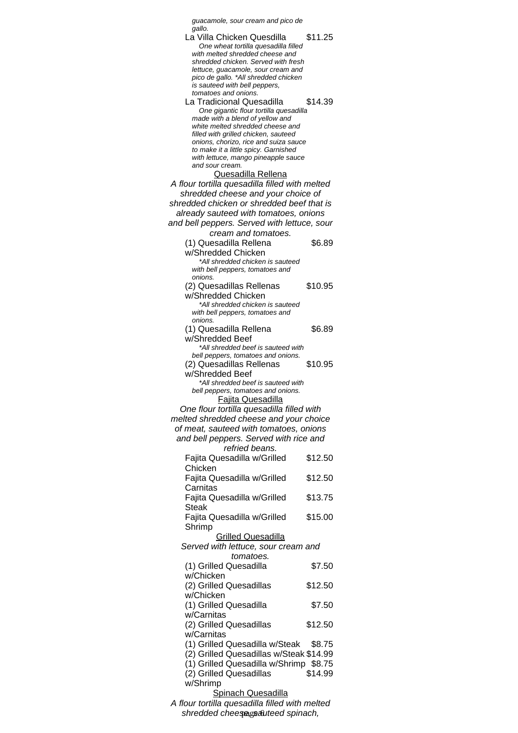| guacamole, sour cream and pico de                                                                                                                                                                                                                                                                                            |                             |
|------------------------------------------------------------------------------------------------------------------------------------------------------------------------------------------------------------------------------------------------------------------------------------------------------------------------------|-----------------------------|
| gallo.<br>La Villa Chicken Quesdilla<br>One wheat tortilla quesadilla filled<br>with melted shredded cheese and<br>shredded chicken. Served with fresh<br>lettuce, guacamole, sour cream and<br>pico de gallo. *All shredded chicken                                                                                         | \$11.25                     |
| is sauteed with bell peppers,<br>tomatoes and onions.<br>La Tradicional Quesadilla<br>One gigantic flour tortilla quesadilla<br>made with a blend of yellow and<br>white melted shredded cheese and<br>filled with grilled chicken, sauteed<br>onions, chorizo, rice and suiza sauce<br>to make it a little spicy. Garnished | \$14.39                     |
| with lettuce, mango pineapple sauce<br>and sour cream.<br><b>Quesadilla Rellena</b>                                                                                                                                                                                                                                          |                             |
| A flour tortilla quesadilla filled with melted<br>shredded cheese and your choice of<br>shredded chicken or shredded beef that is                                                                                                                                                                                            |                             |
| already sauteed with tomatoes, onions<br>and bell peppers. Served with lettuce, sour                                                                                                                                                                                                                                         |                             |
| cream and tomatoes.<br>(1) Quesadilla Rellena<br>w/Shredded Chicken                                                                                                                                                                                                                                                          | \$6.89                      |
| *All shredded chicken is sauteed<br>with bell peppers, tomatoes and<br>onions.                                                                                                                                                                                                                                               |                             |
| (2) Quesadillas Rellenas<br>w/Shredded Chicken<br>*All shredded chicken is sauteed<br>with bell peppers, tomatoes and                                                                                                                                                                                                        | \$10.95                     |
| onions.<br>(1) Quesadilla Rellena<br>w/Shredded Beef<br>*All shredded beef is sauteed with                                                                                                                                                                                                                                   | \$6.89                      |
| bell peppers, tomatoes and onions.<br>(2) Quesadillas Rellenas<br>w/Shredded Beef                                                                                                                                                                                                                                            | \$10.95                     |
| *All shredded beef is sauteed with<br>bell peppers, tomatoes and onions.<br><u>Fajita Quesadilla</u><br>One flour tortilla quesadilla filled with                                                                                                                                                                            |                             |
| melted shredded cheese and your choice<br>of meat, sauteed with tomatoes, onions<br>and bell peppers. Served with rice and<br>refried beans.                                                                                                                                                                                 |                             |
| Fajita Quesadilla w/Grilled<br>Chicken                                                                                                                                                                                                                                                                                       | \$12.50                     |
| Fajita Quesadilla w/Grilled<br>Carnitas                                                                                                                                                                                                                                                                                      | \$12.50                     |
| Fajita Quesadilla w/Grilled<br><b>Steak</b>                                                                                                                                                                                                                                                                                  | \$13.75                     |
| Fajita Quesadilla w/Grilled<br>Shrimp                                                                                                                                                                                                                                                                                        | \$15.00                     |
| <b>Grilled Quesadilla</b><br>Served with lettuce, sour cream and<br>tomatoes.                                                                                                                                                                                                                                                |                             |
| (1) Grilled Quesadilla<br>w/Chicken                                                                                                                                                                                                                                                                                          | \$7.50                      |
| (2) Grilled Quesadillas<br>w/Chicken                                                                                                                                                                                                                                                                                         | \$12.50                     |
| (1) Grilled Quesadilla<br>w/Carnitas                                                                                                                                                                                                                                                                                         | \$7.50                      |
| (2) Grilled Quesadillas<br>w/Carnitas                                                                                                                                                                                                                                                                                        | \$12.50                     |
| (1) Grilled Quesadilla w/Steak<br>(2) Grilled Quesadillas w/Steak \$14.99<br>(1) Grilled Quesadilla w/Shrimp<br>(2) Grilled Quesadillas<br>w/Shrimp                                                                                                                                                                          | \$8.75<br>\$8.75<br>\$14.99 |
| <b>Spinach Quesadilla</b><br>A flour tortilla quesadilla filled with melted<br>shredded cheesegsauteed spinach,                                                                                                                                                                                                              |                             |
|                                                                                                                                                                                                                                                                                                                              |                             |